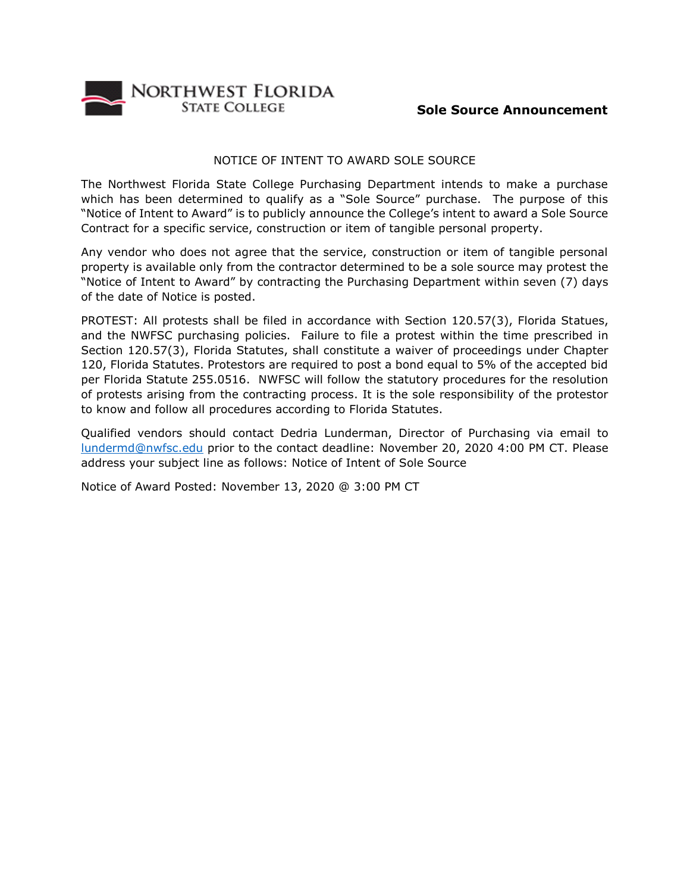

## NOTICE OF INTENT TO AWARD SOLE SOURCE

The Northwest Florida State College Purchasing Department intends to make a purchase which has been determined to qualify as a "Sole Source" purchase. The purpose of this "Notice of Intent to Award" is to publicly announce the College's intent to award a Sole Source Contract for a specific service, construction or item of tangible personal property.

Any vendor who does not agree that the service, construction or item of tangible personal property is available only from the contractor determined to be a sole source may protest the "Notice of Intent to Award" by contracting the Purchasing Department within seven (7) days of the date of Notice is posted.

PROTEST: All protests shall be filed in accordance with Section 120.57(3), Florida Statues, and the NWFSC purchasing policies. Failure to file a protest within the time prescribed in Section 120.57(3), Florida Statutes, shall constitute a waiver of proceedings under Chapter 120, Florida Statutes. Protestors are required to post a bond equal to 5% of the accepted bid per Florida Statute 255.0516. NWFSC will follow the statutory procedures for the resolution of protests arising from the contracting process. It is the sole responsibility of the protestor to know and follow all procedures according to Florida Statutes.

Qualified vendors should contact Dedria Lunderman, Director of Purchasing via email to [lundermd@nwfsc.edu](mailto:lundermd@nwfsc.edu) prior to the contact deadline: November 20, 2020 4:00 PM CT. Please address your subject line as follows: Notice of Intent of Sole Source

Notice of Award Posted: November 13, 2020 @ 3:00 PM CT